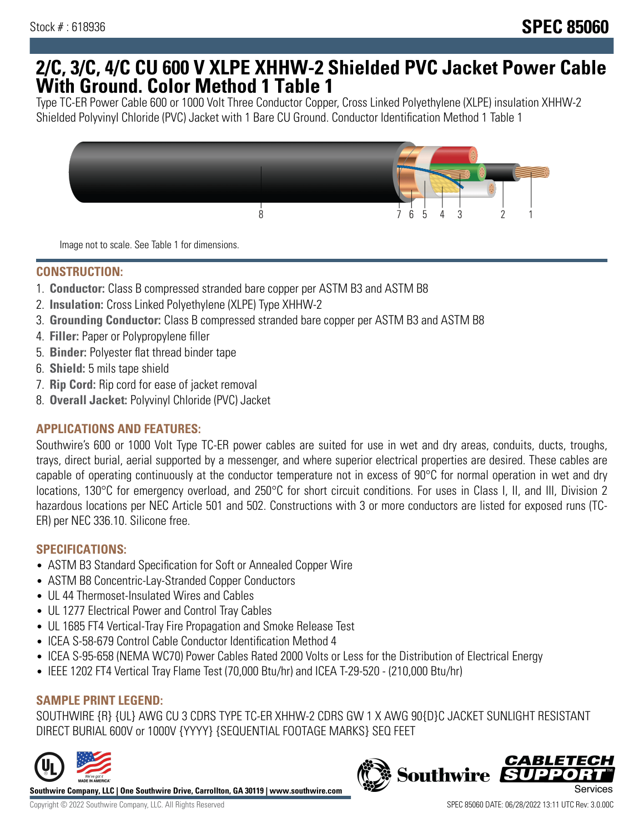## **2/C, 3/C, 4/C CU 600 V XLPE XHHW-2 Shielded PVC Jacket Power Cable With Ground. Color Method 1 Table 1**

Type TC-ER Power Cable 600 or 1000 Volt Three Conductor Copper, Cross Linked Polyethylene (XLPE) insulation XHHW-2 Shielded Polyvinyl Chloride (PVC) Jacket with 1 Bare CU Ground. Conductor Identification Method 1 Table 1



Image not to scale. See Table 1 for dimensions.

#### **CONSTRUCTION:**

- 1. **Conductor:** Class B compressed stranded bare copper per ASTM B3 and ASTM B8
- 2. **Insulation:** Cross Linked Polyethylene (XLPE) Type XHHW-2
- 3. **Grounding Conductor:** Class B compressed stranded bare copper per ASTM B3 and ASTM B8
- 4. **Filler:** Paper or Polypropylene filler
- 5. **Binder:** Polyester flat thread binder tape
- 6. **Shield:** 5 mils tape shield
- 7. **Rip Cord:** Rip cord for ease of jacket removal
- 8. **Overall Jacket:** Polyvinyl Chloride (PVC) Jacket

## **APPLICATIONS AND FEATURES:**

Southwire's 600 or 1000 Volt Type TC-ER power cables are suited for use in wet and dry areas, conduits, ducts, troughs, trays, direct burial, aerial supported by a messenger, and where superior electrical properties are desired. These cables are capable of operating continuously at the conductor temperature not in excess of 90°C for normal operation in wet and dry locations, 130°C for emergency overload, and 250°C for short circuit conditions. For uses in Class I, II, and III, Division 2 hazardous locations per NEC Article 501 and 502. Constructions with 3 or more conductors are listed for exposed runs (TC-ER) per NEC 336.10. Silicone free.

#### **SPECIFICATIONS:**

- ASTM B3 Standard Specification for Soft or Annealed Copper Wire
- ASTM B8 Concentric-Lay-Stranded Copper Conductors
- UL 44 Thermoset-Insulated Wires and Cables
- UL 1277 Electrical Power and Control Tray Cables
- UL 1685 FT4 Vertical-Tray Fire Propagation and Smoke Release Test
- ICEA S-58-679 Control Cable Conductor Identification Method 4
- ICEA S-95-658 (NEMA WC70) Power Cables Rated 2000 Volts or Less for the Distribution of Electrical Energy
- IEEE 1202 FT4 Vertical Tray Flame Test (70,000 Btu/hr) and ICEA T-29-520 (210,000 Btu/hr)

## **SAMPLE PRINT LEGEND:**

SOUTHWIRE {R} {UL} AWG CU 3 CDRS TYPE TC-ER XHHW-2 CDRS GW 1 X AWG 90{D}C JACKET SUNLIGHT RESISTANT DIRECT BURIAL 600V or 1000V {YYYY} {SEQUENTIAL FOOTAGE MARKS} SEQ FEET



**Southwire Company, LLC | One Southwire Drive, Carrollton, GA 30119 | www.southwire.com**